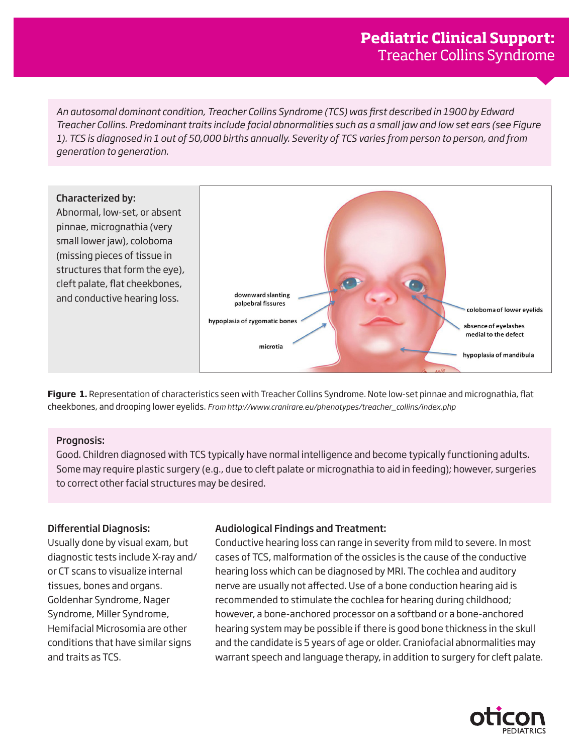*An autosomal dominant condition, Treacher Collins Syndrome (TCS) was first described in 1900 by Edward Treacher Collins. Predominant traits include facial abnormalities such as a small jaw and low set ears (see Figure 1). TCS is diagnosed in 1 out of 50,000 births annually. Severity of TCS varies from person to person, and from generation to generation.*



**Figure 1.** Representation of characteristics seen with Treacher Collins Syndrome. Note low-set pinnae and micrognathia, flat cheekbones, and drooping lower eyelids. *From http://www.cranirare.eu/phenotypes/treacher\_collins/index.php*

### Prognosis:

Good. Children diagnosed with TCS typically have normal intelligence and become typically functioning adults. Some may require plastic surgery (e.g., due to cleft palate or micrognathia to aid in feeding); however, surgeries to correct other facial structures may be desired.

# Differential Diagnosis:

Usually done by visual exam, but diagnostic tests include X-ray and/ or CT scans to visualize internal tissues, bones and organs. Goldenhar Syndrome, Nager Syndrome, Miller Syndrome, Hemifacial Microsomia are other conditions that have similar signs and traits as TCS.

# Audiological Findings and Treatment:

Conductive hearing loss can range in severity from mild to severe. In most cases of TCS, malformation of the ossicles is the cause of the conductive hearing loss which can be diagnosed by MRI. The cochlea and auditory nerve are usually not affected. Use of a bone conduction hearing aid is recommended to stimulate the cochlea for hearing during childhood; however, a bone-anchored processor on a softband or a bone-anchored hearing system may be possible if there is good bone thickness in the skull and the candidate is 5 years of age or older. Craniofacial abnormalities may warrant speech and language therapy, in addition to surgery for cleft palate.